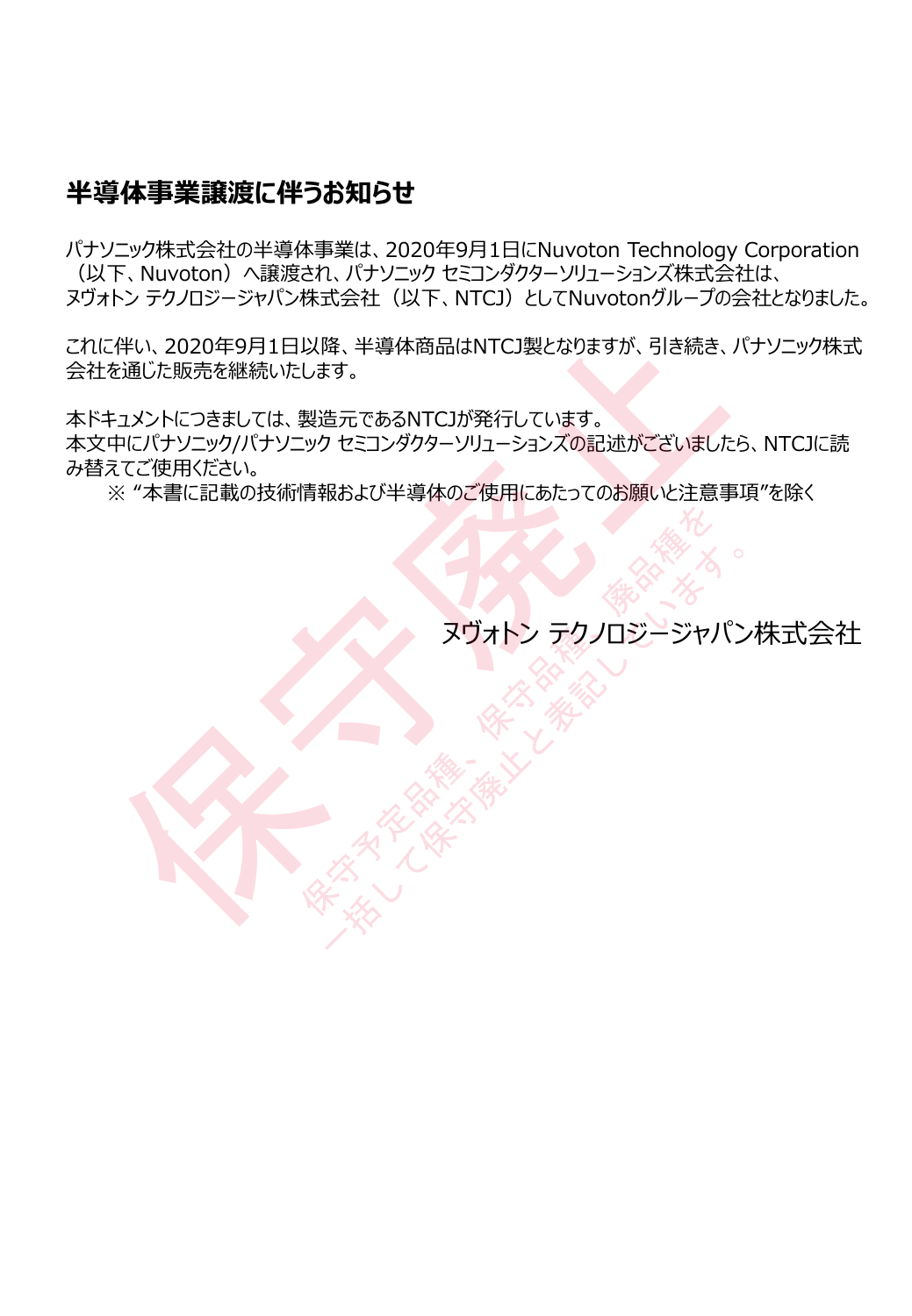## **半導体事業譲渡に伴うお知らせ**

パナソニック株式会社の半導体事業は、2020年9月1日にNuvoton Technology Corporation (以下、Nuvoton)へ譲渡され、パナソニック セミコンダクターソリューションズ株式会社は、 ヌヴォトン テクノロジージャパン株式会社(以下、NTCJ)としてNuvotonグループの会社となりました。

これに伴い、2020年9月1日以降、半導体商品はNTCJ製となりますが、引き続き、パナソニック株式 会社を通じた販売を継続いたします。 この20年9月1日以降、半導体商品はNTCJ製となりますが、引き続き、パナソニック株式会社<br>を通じた販売を継続いたします。<br>キュメントにつきましては、製造元であるNTCJが発行しています。<br>中にパナソニック/パナソニック セミコンダクターソリューションズの記述がございましたら、NTCJに読<br>※ "本書に記載の技術情報および半導体のご使用にあたってのお願いと注意事項"を除く<br>※ "本書に記載の技術情報および半導体のご使用にあたってのお願い

本ドキュメントにつきましては、製造元であるNTCJが発行しています。 本文中にパナソニック/パナソニック セミコンダクターソリューションズの記述がございましたら、NTCJに読

み替えてご使用ください。

※ "本書に記載の技術情報および半導体のご使用にあたってのお願いと注意事項"を除く

**RTALL ARTISTS AND REAL ARTISTS AND REAL ARTISTS AND REAL ARTISTS AND REAL ARTISTS AND REAL ARTISTS AND REAL ARTISTS AND REAL ARTISTS AND REAL ARTISTS AND REAL ARTISTS AND REAL ARTISTS AND REAL ARTISTS AND REAL ARTISTS AN** 大学 スリーン ラクノロジージャパン<br>スリオトン テクノロジージャパン<br>ペンペンストン テクノロジージャパン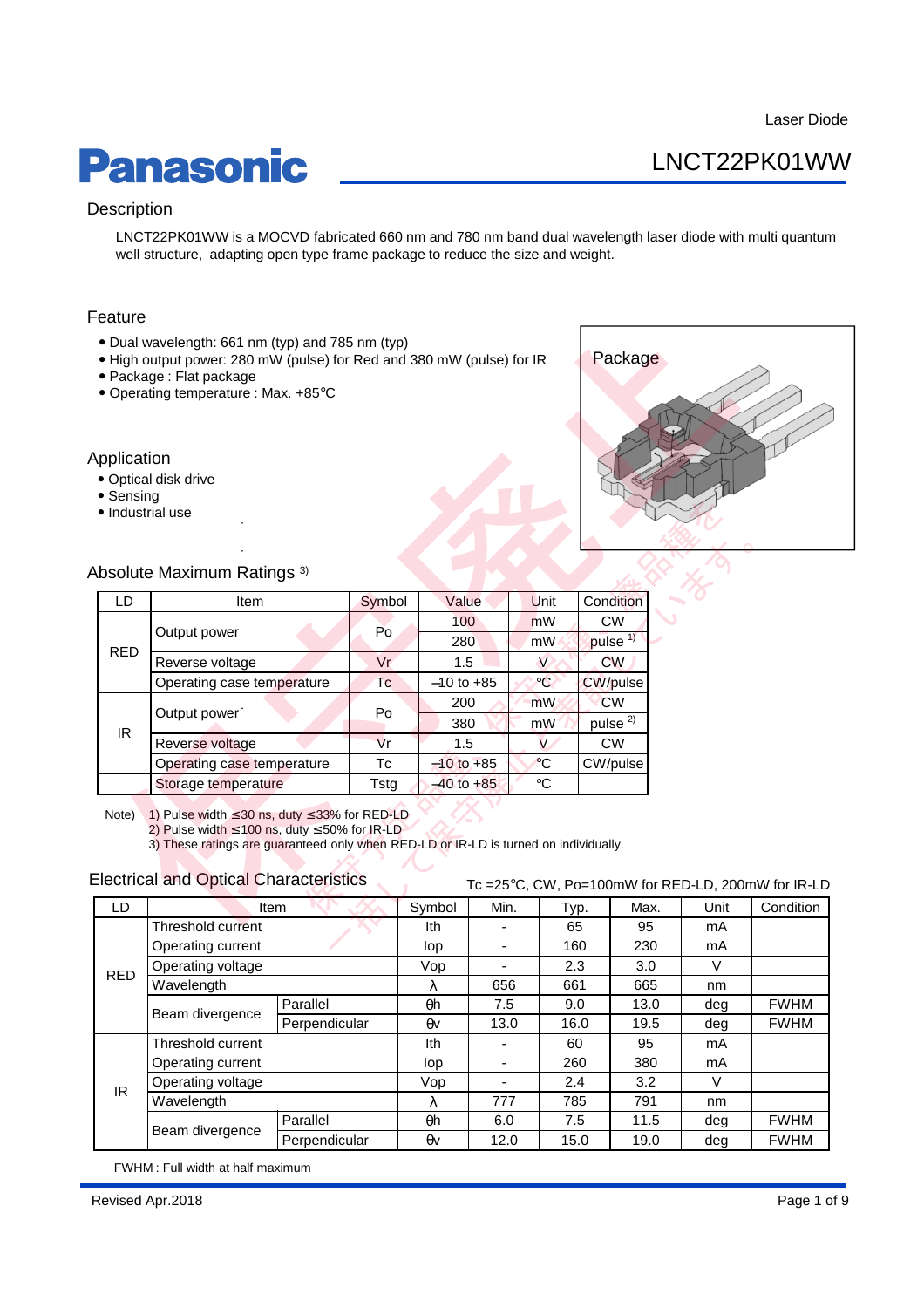## **Panasonic**

## LNCT22PK01WW

### **Description**

LNCT22PK01WW is a MOCVD fabricated 660 nm and 780 nm band dual wavelength laser diode with multi quantum well structure, adapting open type frame package to reduce the size and weight.

### Feature

- Dual wavelength: 661 nm (typ) and 785 nm (typ)
- High output power: 280 mW (pulse) for Red and 380 mW (pulse) for IR
- Package : Flat package
- Operating temperature : Max. +85°C

### Application

- Optical disk drive
- Sensing
- Industrial use



### Absolute Maximum Ratings 3)

| eature                                             |                                                                                                                                                                                                                                                                                                         |         |                |      |                 |                     |  |      |  |  |
|----------------------------------------------------|---------------------------------------------------------------------------------------------------------------------------------------------------------------------------------------------------------------------------------------------------------------------------------------------------------|---------|----------------|------|-----------------|---------------------|--|------|--|--|
|                                                    | • Dual wavelength: 661 nm (typ) and 785 nm (typ)<br>. High output power: 280 mW (pulse) for Red and 380 mW (pulse) for IR<br>• Package: Flat package<br>• Operating temperature : Max. +85°C                                                                                                            | Package |                |      |                 |                     |  |      |  |  |
| <b>pplication</b><br>• Sensing<br>· Industrial use | • Optical disk drive<br>bsolute Maximum Ratings <sup>3)</sup>                                                                                                                                                                                                                                           |         |                |      |                 |                     |  |      |  |  |
| LD                                                 | Item                                                                                                                                                                                                                                                                                                    | Symbol  | Value          |      | Unit            | Condition           |  |      |  |  |
|                                                    |                                                                                                                                                                                                                                                                                                         |         | 100            |      | mW              | <b>CW</b>           |  |      |  |  |
|                                                    | Output power                                                                                                                                                                                                                                                                                            | Po      | 280            |      | mW              | pulse <sup>1)</sup> |  |      |  |  |
| <b>RED</b>                                         | Reverse voltage                                                                                                                                                                                                                                                                                         | Vr      | 1.5            |      | $\vee$          | <b>CW</b>           |  |      |  |  |
|                                                    | Operating case temperature                                                                                                                                                                                                                                                                              | Тc      | $-10$ to $+85$ |      | $^{\circ}$ C    | <b>CW/pulse</b>     |  |      |  |  |
|                                                    |                                                                                                                                                                                                                                                                                                         |         | 200            |      | m <sub>W</sub>  | <b>CW</b>           |  |      |  |  |
| IR.                                                | Output power                                                                                                                                                                                                                                                                                            | Po      | 380            |      | mW              | pulse <sup>2)</sup> |  |      |  |  |
|                                                    | Reverse voltage                                                                                                                                                                                                                                                                                         | Vr      | 1.5            |      | $\overline{V}$  | <b>CW</b>           |  |      |  |  |
|                                                    | Operating case temperature                                                                                                                                                                                                                                                                              | Tc      | $-10$ to $+85$ |      | $\rm ^{\circ}C$ | CW/pulse            |  |      |  |  |
|                                                    | Storage temperature                                                                                                                                                                                                                                                                                     | Tstg    | $-40$ to $+85$ |      | $\circ$ C       |                     |  |      |  |  |
| Note)                                              | 1) Pulse width $\leq$ 30 ns, duty $\leq$ 33% for RED-LD<br>2) Pulse width $\leq 100$ ns, duty $\leq 50\%$ for IR-LD<br>3) These ratings are guaranteed only when RED-LD or IR-LD is turned on individually.<br><b>Electrical and Optical Characteristics</b><br>Tc =25°C, CW, Po=100mW for RED-LD, 200m |         |                |      |                 |                     |  |      |  |  |
| LD                                                 | Item                                                                                                                                                                                                                                                                                                    |         | Symbol         | Min. |                 | Max.                |  | Unit |  |  |
|                                                    | Threshold current                                                                                                                                                                                                                                                                                       |         | Ith            |      | Typ.<br>65      | 95                  |  | mA   |  |  |
|                                                    | Operating current                                                                                                                                                                                                                                                                                       |         | lop            |      | 160             | 230                 |  | mA   |  |  |

### Electrical and Optical Characteristics Tc =25°C, CW, Po=100mW for RED-LD, 200mW for IR-LD

| LD         | <b>Item</b>       |               | Symbol     | Min. | Typ. | Max. | Unit | Condition   |
|------------|-------------------|---------------|------------|------|------|------|------|-------------|
| <b>RED</b> | Threshold current |               | lth        |      | 65   | 95   | mA   |             |
|            | Operating current |               | lop        | ٠    | 160  | 230  | mA   |             |
|            | Operating voltage |               | Vop        | ٠    | 2.3  | 3.0  | V    |             |
|            | Wavelength        |               | λ          | 656  | 661  | 665  | nm   |             |
|            | Beam divergence   | Parallel      | θh         | 7.5  | 9.0  | 13.0 | deg  | <b>FWHM</b> |
|            |                   | Perpendicular | θv         | 13.0 | 16.0 | 19.5 | dea  | <b>FWHM</b> |
| IR         | Threshold current |               | Ith        | ۰    | 60   | 95   | mA   |             |
|            | Operating current |               | lop        | -    | 260  | 380  | mA   |             |
|            | Operating voltage |               | Vop        | ٠    | 2.4  | 3.2  | V    |             |
|            | Wavelength        |               | λ          | 777  | 785  | 791  | nm   |             |
|            | Beam divergence   | Parallel      | θh         | 6.0  | 7.5  | 11.5 | dea  | <b>FWHM</b> |
|            |                   | Perpendicular | $\theta$ v | 12.0 | 15.0 | 19.0 | deg  | <b>FWHM</b> |

FWHM : Full width at half maximum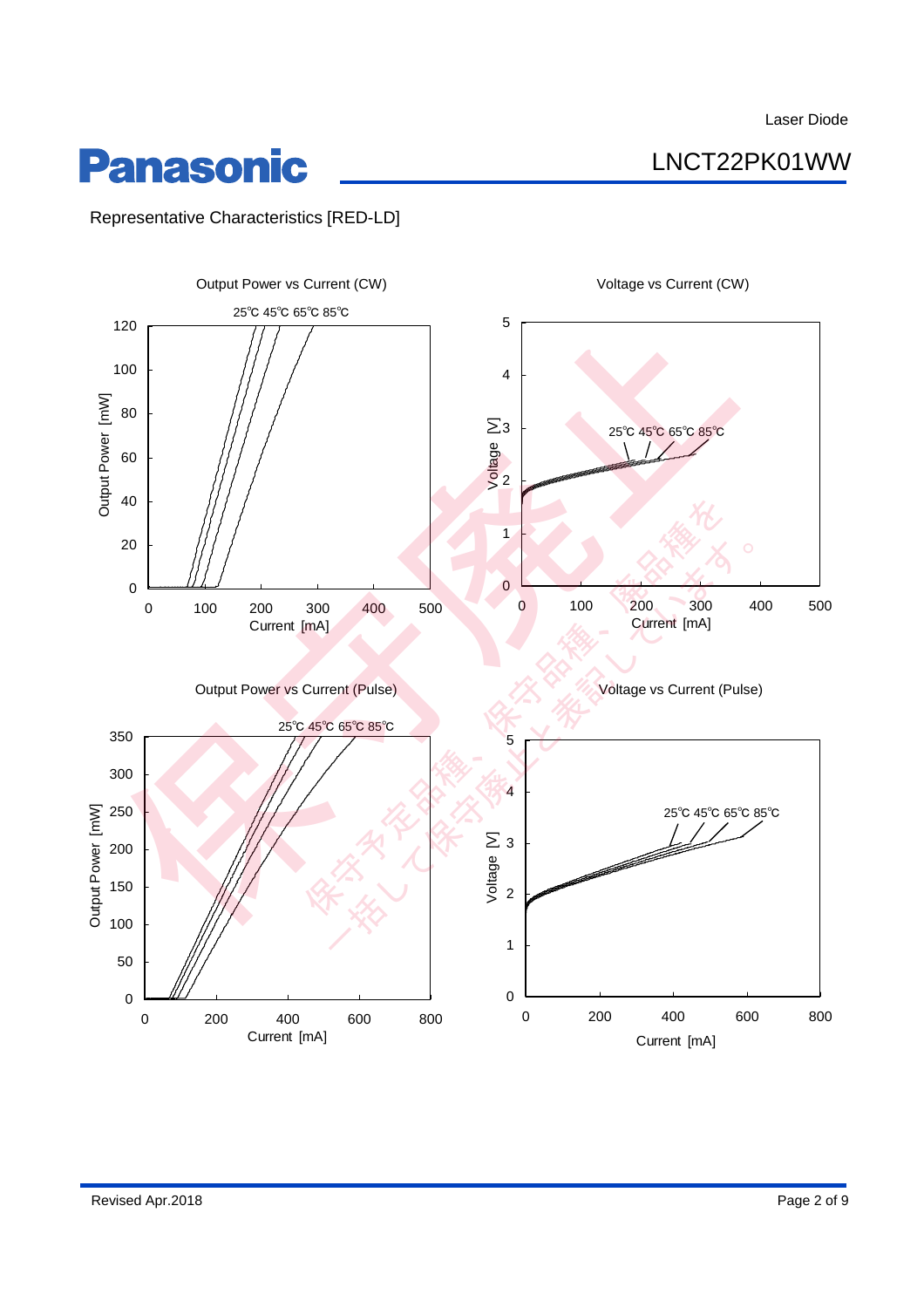LNCT22PK01WW

## **Panasonic**

Representative Characteristics [RED-LD]

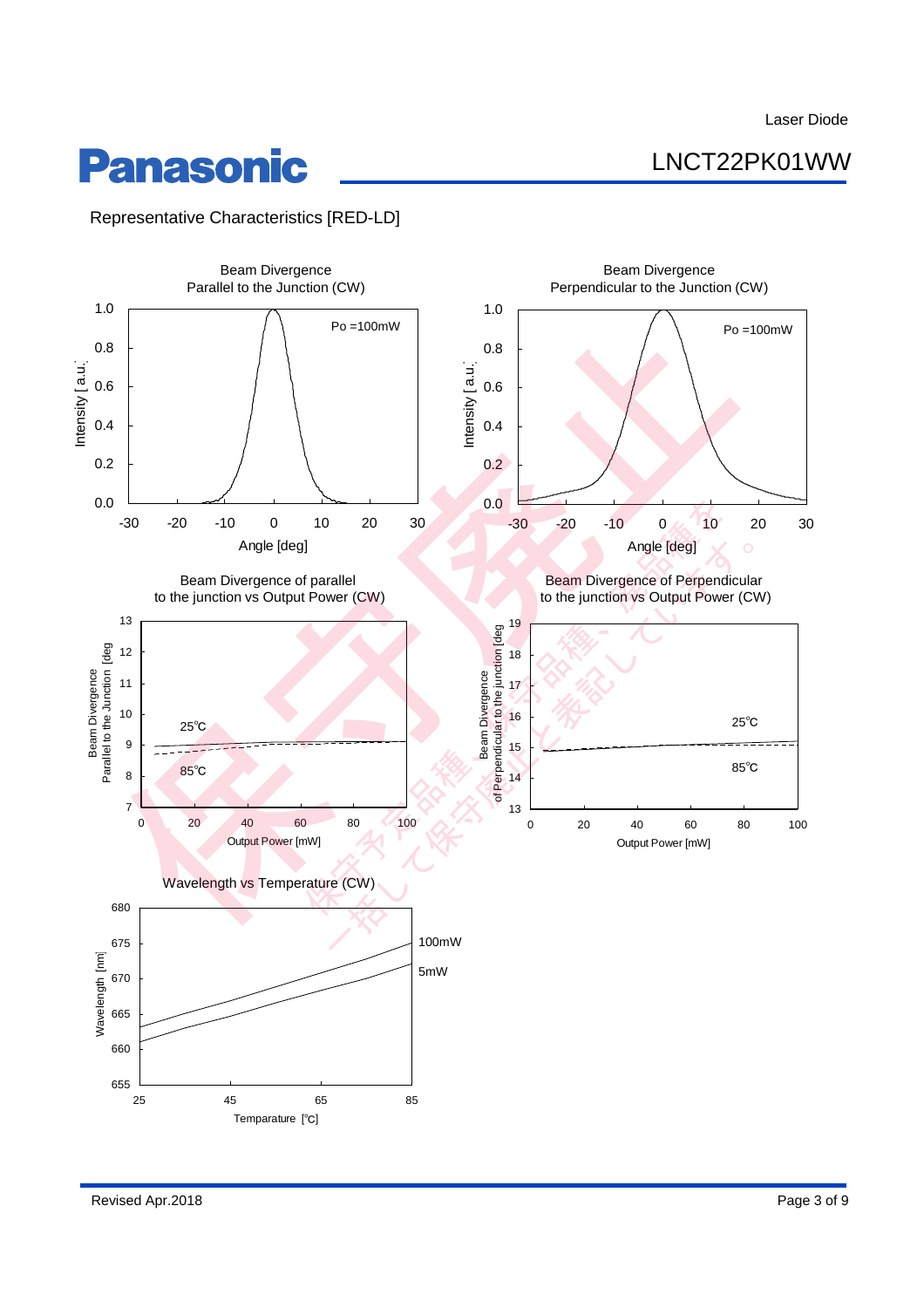LNCT22PK01WW

## **Panasonic**

Representative Characteristics [RED-LD]

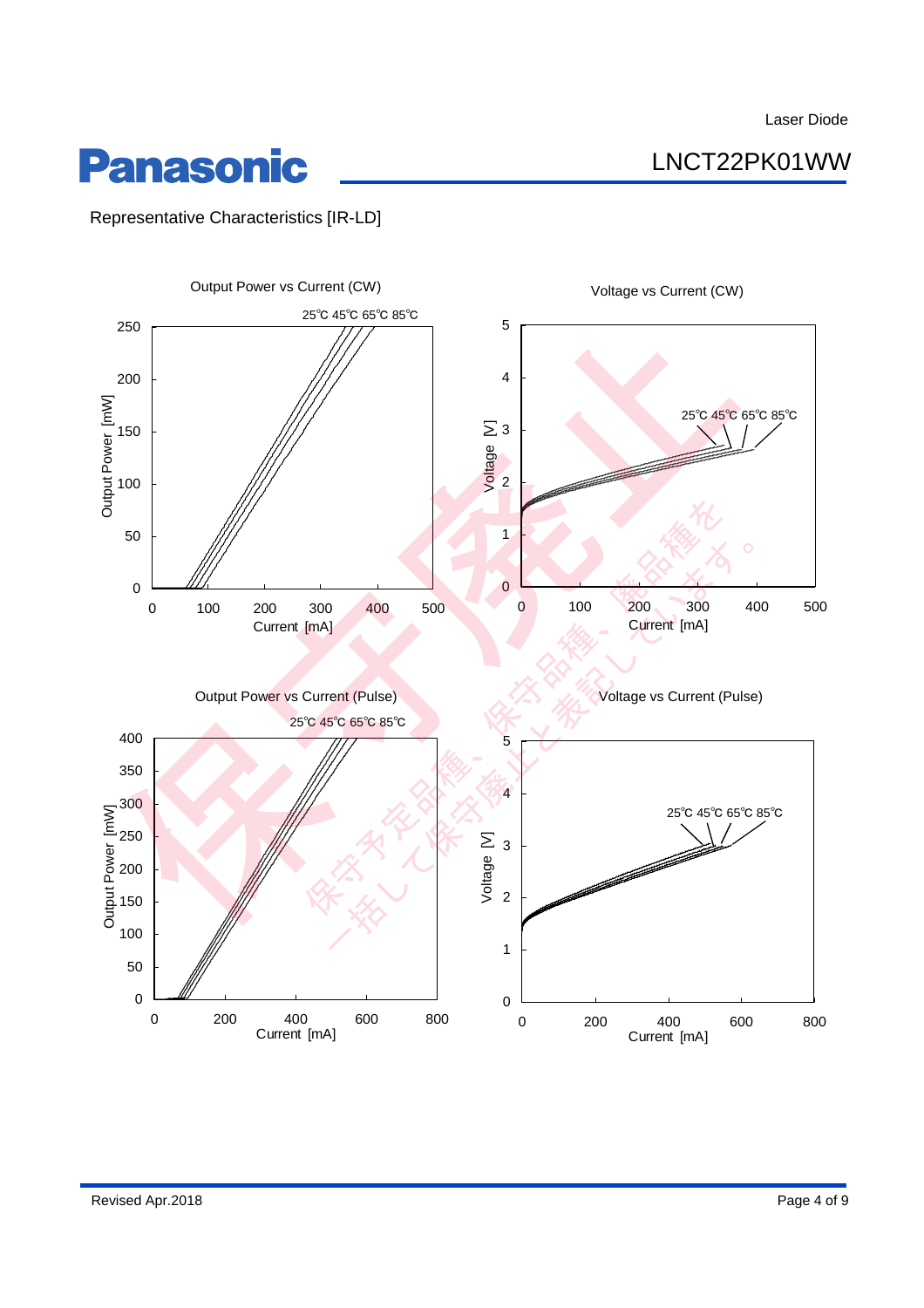LNCT22PK01WW

## **Panasonic**

Representative Characteristics [IR-LD]

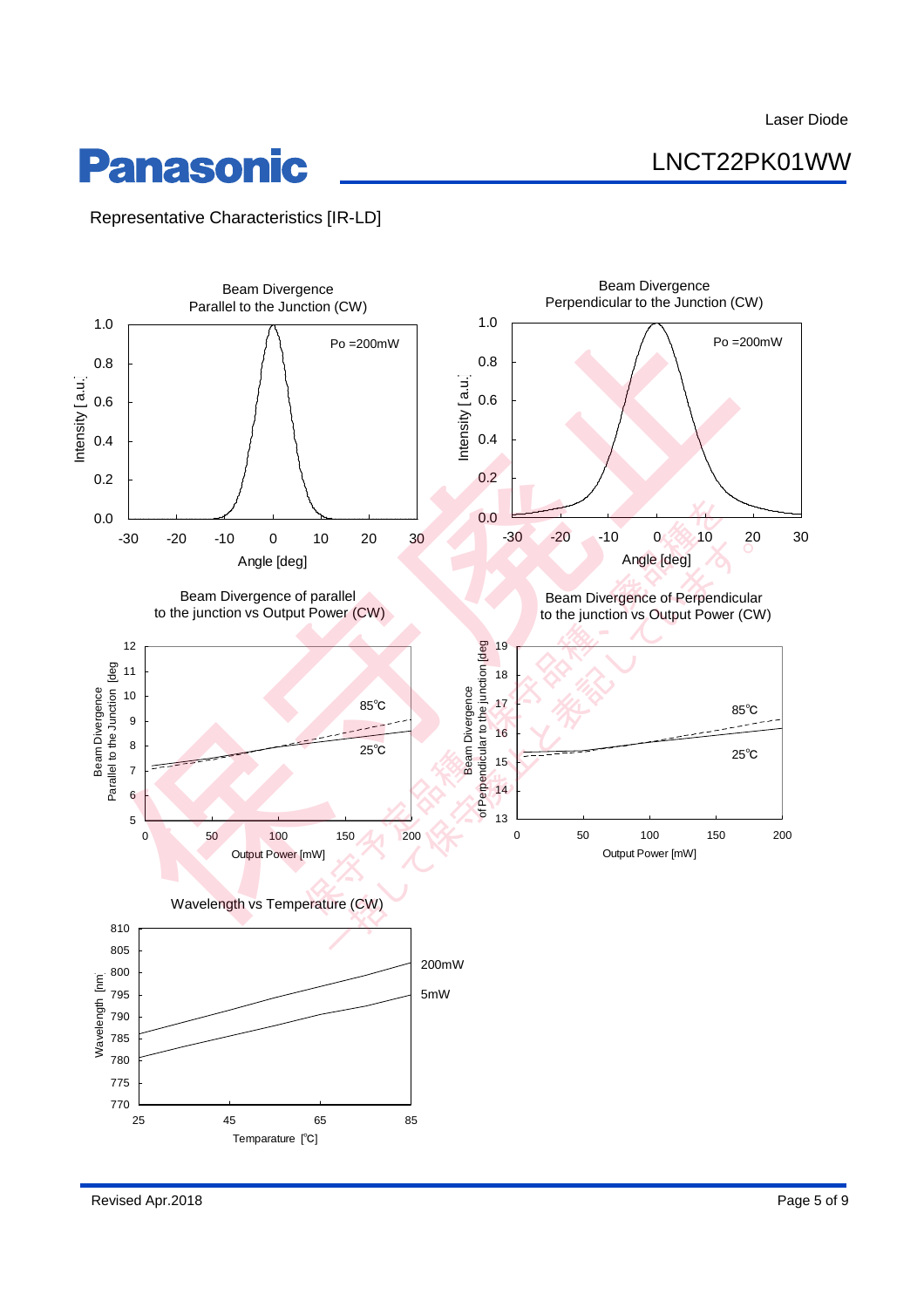LNCT22PK01WW

## **Panasonic**

Representative Characteristics [IR-LD]

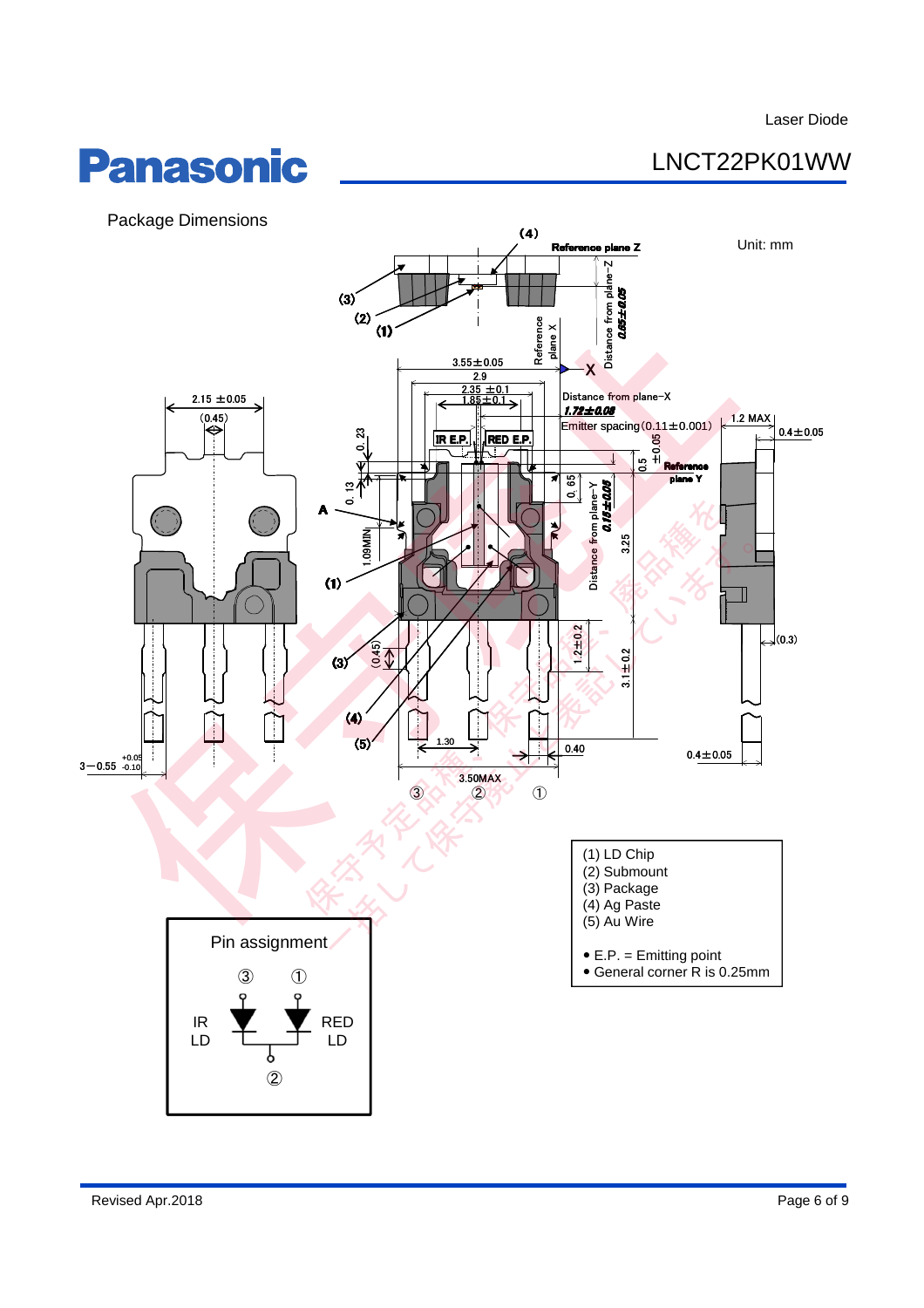## LNCT22PK01WW



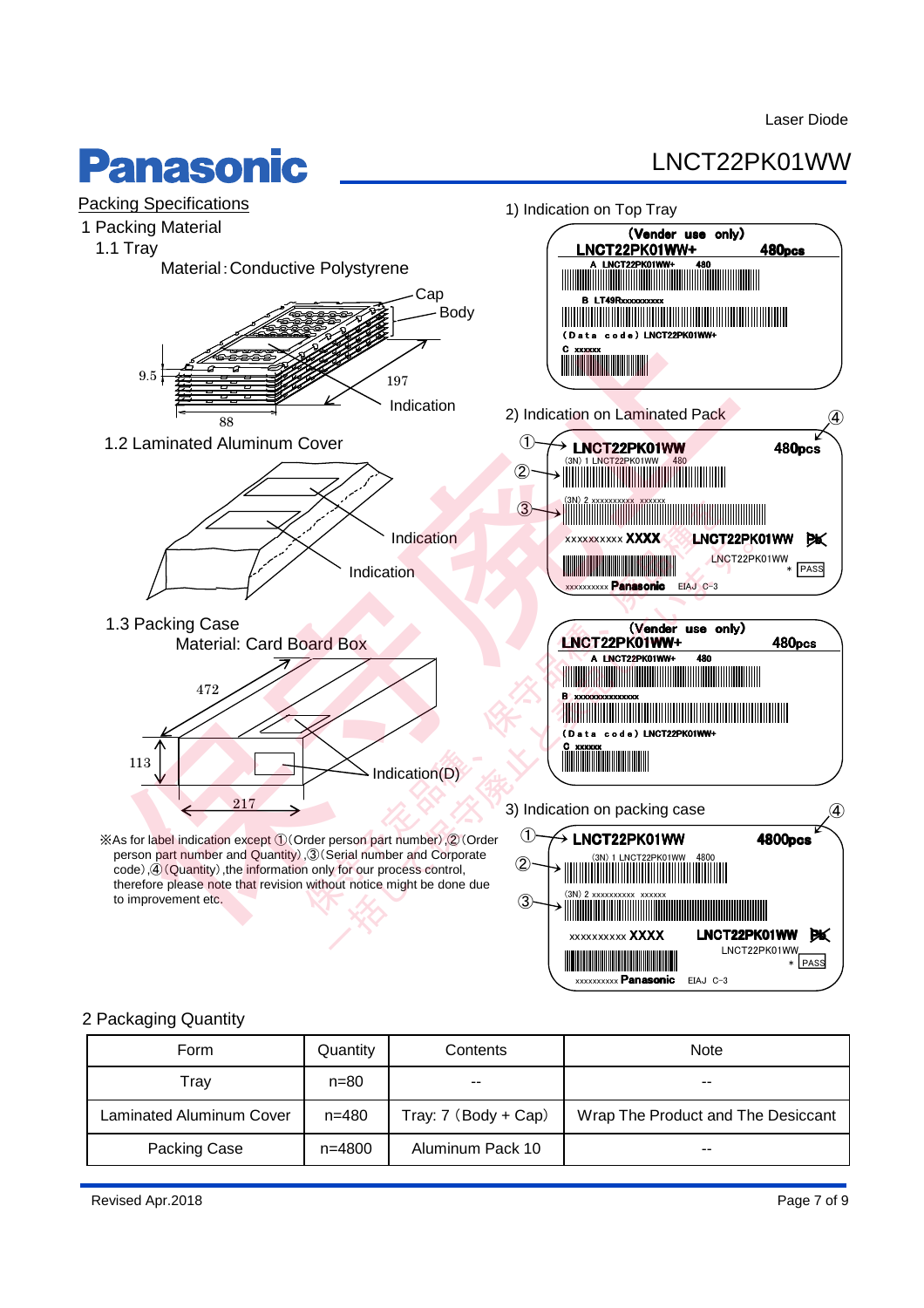## **Panasonic**

## LNCT22PK01WW



### 2 Packaging Quantity

| Form                            | Quantity   | Contents             | <b>Note</b>                        |  |  |  |
|---------------------------------|------------|----------------------|------------------------------------|--|--|--|
| $n = 80$<br>Trav                |            | $- -$                | $- -$                              |  |  |  |
| <b>Laminated Aluminum Cover</b> | $n = 480$  | Tray: 7 (Body + Cap) | Wrap The Product and The Desiccant |  |  |  |
| Packing Case                    | $n = 4800$ | Aluminum Pack 10     | $- -$                              |  |  |  |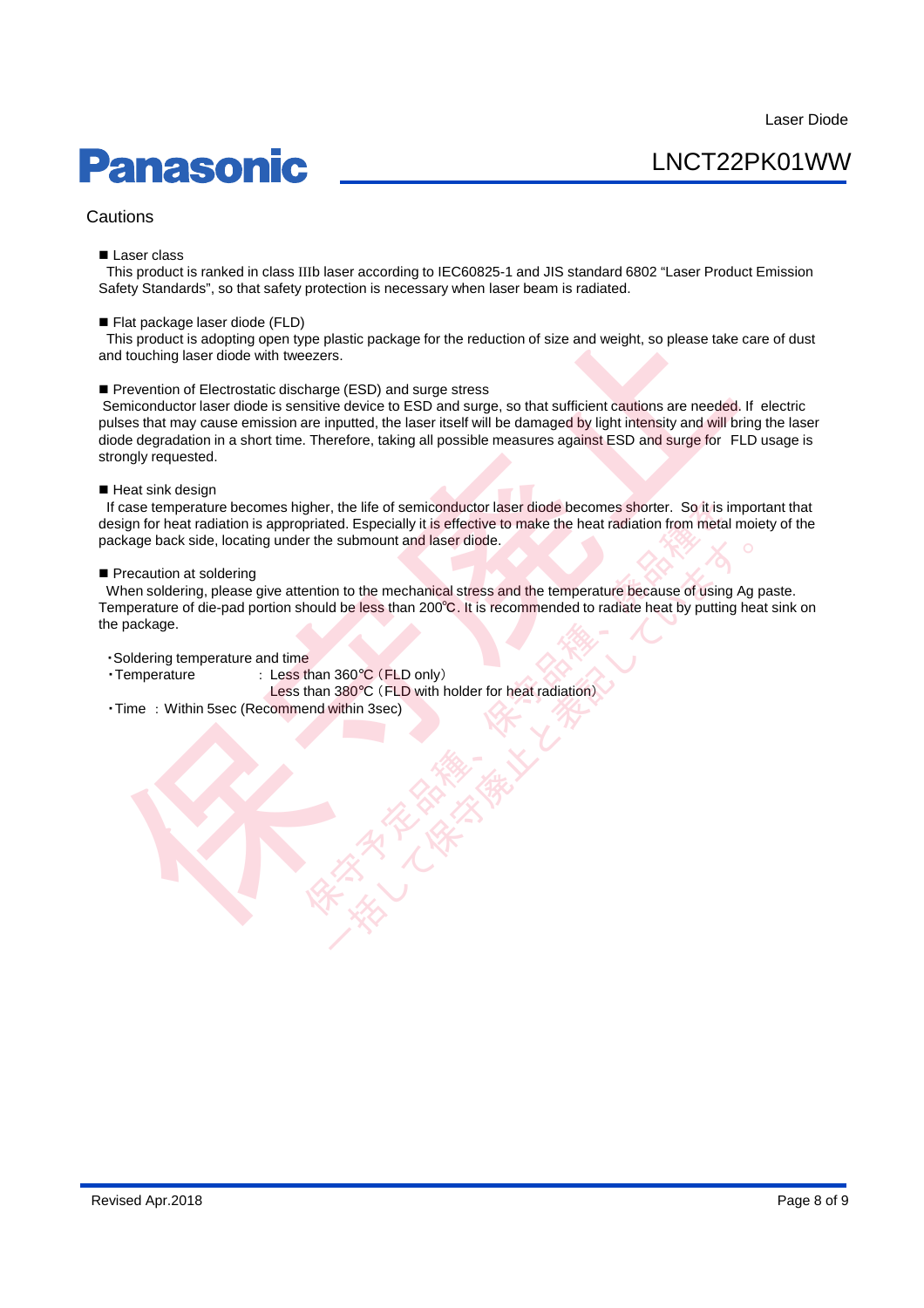# **Panasonic**

LNCT22PK01WW

### Cautions

#### Laser class

This product is ranked in class IIIb laser according to IEC60825-1 and JIS standard 6802 "Laser Product Emission Safety Standards", so that safety protection is necessary when laser beam is radiated.

#### Flat package laser diode (FLD)

This product is adopting open type plastic package for the reduction of size and weight, so please take care of dust and touching laser diode with tweezers.

Prevention of Electrostatic discharge (ESD) and surge stress

Semiconductor laser diode is sensitive device to ESD and surge, so that sufficient cautions are needed. If electric pulses that may cause emission are inputted, the laser itself will be damaged by light intensity and will bring the laser diode degradation in a short time. Therefore, taking all possible measures against ESD and surge for FLD usage is strongly requested. Flat package laser diode (FLD)<br>
This product is adopting open type plastic package for the reduction of size and weight, so please take<br>
The verticon of Electrostatic discharge (ESD) and surge stress<br>
and touching laser di

#### Heat sink design

If case temperature becomes higher, the life of semiconductor laser diode becomes shorter. So it is important that design for heat radiation is appropriated. Especially it is effective to make the heat radiation from metal moiety of the package back side, locating under the submount and laser diode. righer, the life of semiconductor laser diode becomes shorter. So it is priated. Especially it is effective to make the heat radiation from meter the submount and laser diode.<br>
The method of the method of the method of the

#### Precaution at soldering

When soldering, please give attention to the mechanical stress and the temperature because of using Ag paste. Temperature of die-pad portion should be less than 200℃. It is recommended to radiate heat by putting heat sink on the package. submount and laser diode.<br>
In to the mechanical stress and the temperature because of using Ag<br>
d be less than 200℃. It is recommended to radiate heat by putting he<br>
<br>
360℃ (FLD only)<br>
380℃ (FLD with holder for heat radia

#### ・Soldering temperature and time

・Temperature : Less than 360°C (FLD only)

Less than 380°C (FLD with holder for heat radiation)

・Time : Within 5sec (Recommend within 3sec)